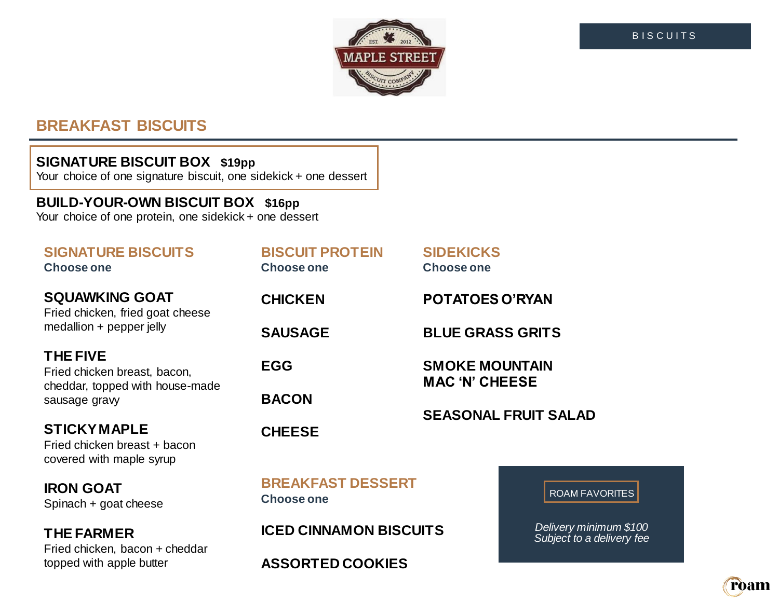

# **BREAKFAST BISCUITS**

### **SIGNATURE BISCUIT BOX \$19pp**

Your choice of one signature biscuit, one sidekick + one dessert

# **BUILD-YOUR-OWN BISCUIT BOX \$16pp**

Your choice of one protein, one sidekick + one dessert

# **SIGNATURE BISCUITS**

**SQUAWKING GOAT** Fried chicken, fried goat cheese medallion + pepper jelly

# **THE FIVE**

Fried chicken breast, bacon, cheddar, topped with house-made sausage gravy

# **STICKY MAPLE**

Fried chicken breast + bacon covered with maple syrup

**IRON GOAT** Spinach + goat cheese

# **THE FARMER**

Fried chicken, bacon + cheddar topped with apple butter

| <b>BISCUIT PROTEIN</b><br><b>Choose one</b> | <b>SIDEKICKS</b><br>Choose one                                                |
|---------------------------------------------|-------------------------------------------------------------------------------|
| <b>CHICKEN</b>                              | <b>POTATOES O'RYAN</b>                                                        |
| <b>SAUSAGE</b>                              | <b>BLUE GRASS GRITS</b>                                                       |
| EGG                                         | <b>SMOKE MOUNTAIN</b><br><b>MAC 'N' CHEESE</b><br><b>SEASONAL FRUIT SALAD</b> |
| <b>BACON</b>                                |                                                                               |
| <b>CHEESE</b>                               |                                                                               |
|                                             |                                                                               |

**BREAKFAST DESSERT**

**ASSORTED COOKIES**

**ICED CINNAMON BISCUITS**

**Choose one**

ROAM FAVORITES

*Delivery minimum \$100 Subject to a delivery fee*